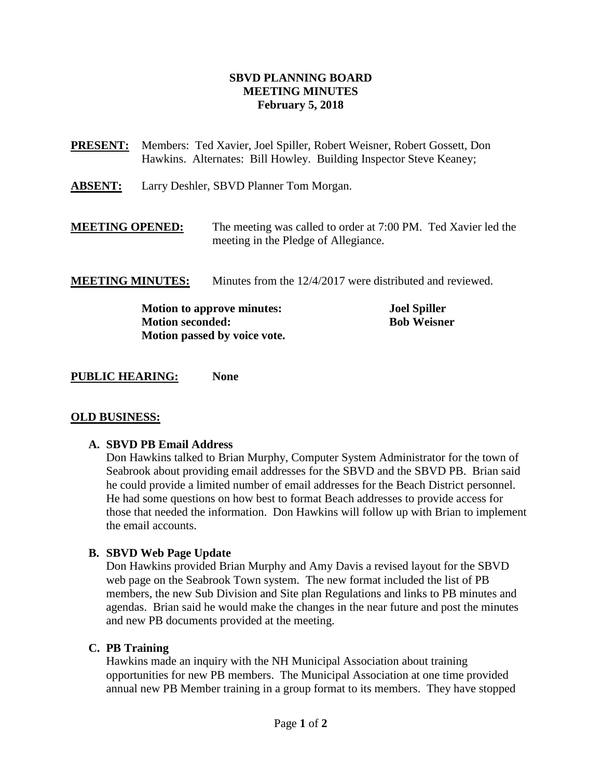### **SBVD PLANNING BOARD MEETING MINUTES February 5, 2018**

**PRESENT:** Members:Ted Xavier, Joel Spiller, Robert Weisner, Robert Gossett, Don Hawkins. Alternates: Bill Howley. Building Inspector Steve Keaney;

**ABSENT:** Larry Deshler, SBVD Planner Tom Morgan.

**MEETING OPENED:** The meeting was called to order at 7:00 PM. Ted Xavier led the meeting in the Pledge of Allegiance.

**MEETING MINUTES:** Minutes from the 12/4/2017 were distributed and reviewed.

**Motion to approve minutes: Joel Spiller Motion seconded: Bob Weisner Motion passed by voice vote.**

**PUBLIC HEARING: None**

### **OLD BUSINESS:**

### **A. SBVD PB Email Address**

Don Hawkins talked to Brian Murphy, Computer System Administrator for the town of Seabrook about providing email addresses for the SBVD and the SBVD PB. Brian said he could provide a limited number of email addresses for the Beach District personnel. He had some questions on how best to format Beach addresses to provide access for those that needed the information. Don Hawkins will follow up with Brian to implement the email accounts.

### **B. SBVD Web Page Update**

Don Hawkins provided Brian Murphy and Amy Davis a revised layout for the SBVD web page on the Seabrook Town system. The new format included the list of PB members, the new Sub Division and Site plan Regulations and links to PB minutes and agendas. Brian said he would make the changes in the near future and post the minutes and new PB documents provided at the meeting.

### **C. PB Training**

Hawkins made an inquiry with the NH Municipal Association about training opportunities for new PB members. The Municipal Association at one time provided annual new PB Member training in a group format to its members. They have stopped